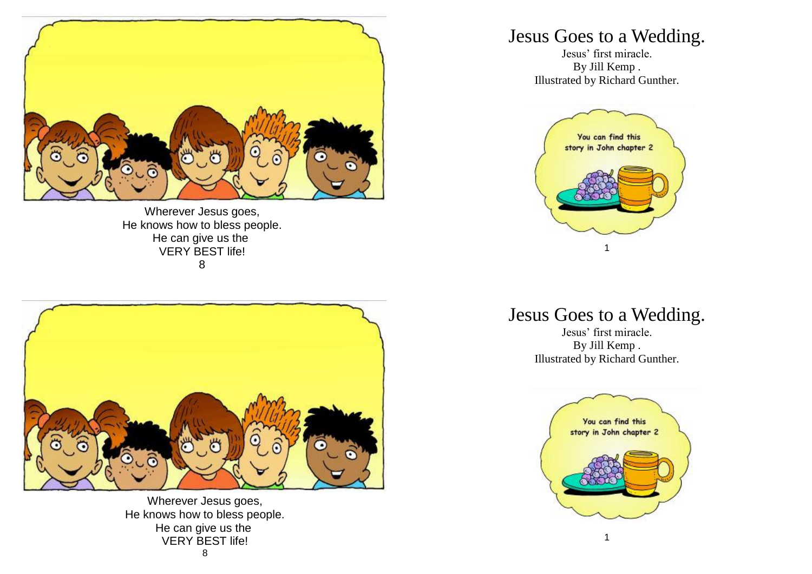

Wherever Jesus goes, He knows how to bless people. He can give us the VERY BEST life! 8

Wherever Jesus goes, He knows how to bless people. He can give us the VERY BEST life! 8

## Jesus Goes to a Wedding.

Jesus' first miracle. By Jill Kemp . Illustrated by Richard Gunther.



## Jesus Goes to a Wedding.

Jesus' first miracle. By Jill Kemp . Illustrated by Richard Gunther.

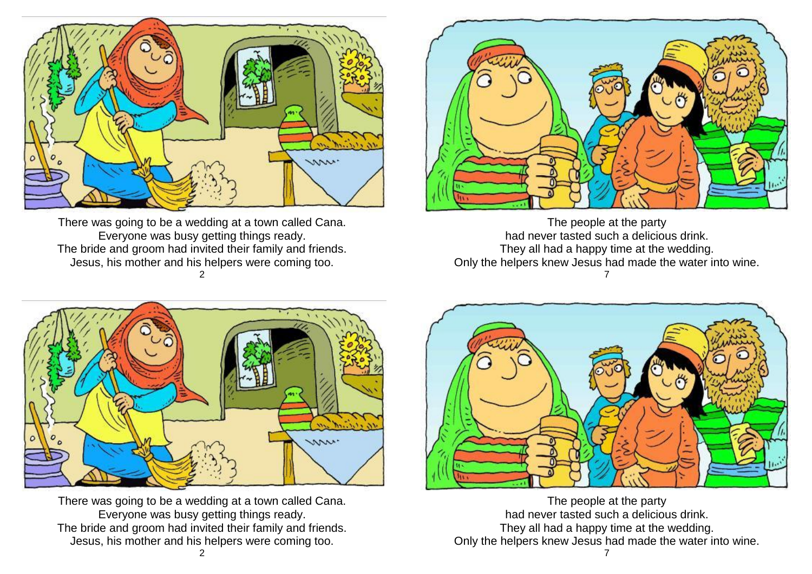

There was going to be a wedding at a town called Cana. Everyone was busy getting things ready. The bride and groom had invited their family and friends. Jesus, his mother and his helpers were coming too. 2



The people at the party had never tasted such a delicious drink. They all had a happy time at the wedding. Only the helpers knew Jesus had made the water into wine. 7



There was going to be a wedding at a town called Cana. Everyone was busy getting things ready. The bride and groom had invited their family and friends. Jesus, his mother and his helpers were coming too.



The people at the party had never tasted such a delicious drink. They all had a happy time at the wedding. Only the helpers knew Jesus had made the water into wine.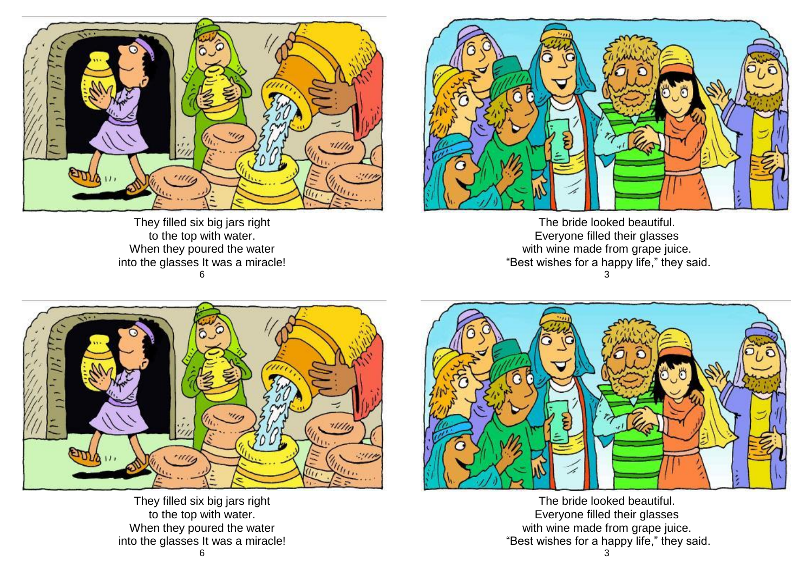

They filled six big jars right to the top with water. When they poured the water into the glasses It was a miracle! 6



The bride looked beautiful. Everyone filled their glasses with wine made from grape juice. "Best wishes for a happy life," they said. 3



They filled six big jars right to the top with water. When they poured the water into the glasses It was a miracle!



The bride looked beautiful. Everyone filled their glasses with wine made from grape juice. "Best wishes for a happy life," they said.